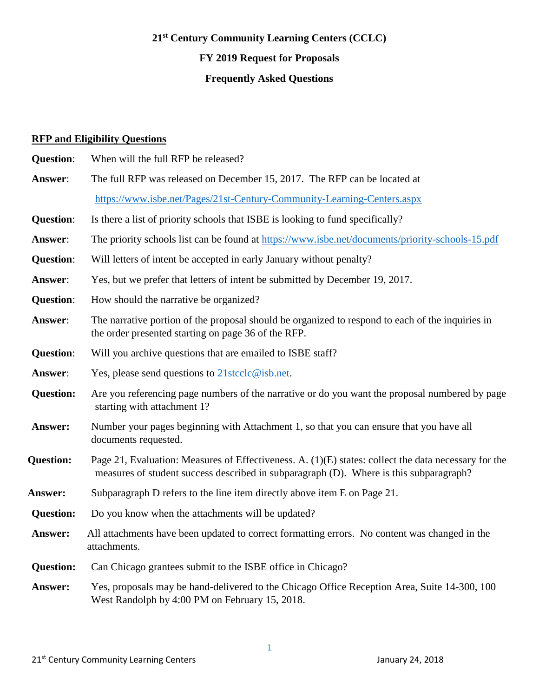# **21st Century Community Learning Centers (CCLC) FY 2019 Request for Proposals Frequently Asked Questions**

## **RFP and Eligibility Questions**

| <b>Question:</b> | When will the full RFP be released?                                                                                                                                                            |
|------------------|------------------------------------------------------------------------------------------------------------------------------------------------------------------------------------------------|
| Answer:          | The full RFP was released on December 15, 2017. The RFP can be located at                                                                                                                      |
|                  | https://www.isbe.net/Pages/21st-Century-Community-Learning-Centers.aspx                                                                                                                        |
| <b>Question:</b> | Is there a list of priority schools that ISBE is looking to fund specifically?                                                                                                                 |
| Answer:          | The priority schools list can be found at https://www.isbe.net/documents/priority-schools-15.pdf                                                                                               |
| <b>Question:</b> | Will letters of intent be accepted in early January without penalty?                                                                                                                           |
| Answer:          | Yes, but we prefer that letters of intent be submitted by December 19, 2017.                                                                                                                   |
| <b>Question:</b> | How should the narrative be organized?                                                                                                                                                         |
| Answer:          | The narrative portion of the proposal should be organized to respond to each of the inquiries in<br>the order presented starting on page 36 of the RFP.                                        |
| <b>Question:</b> | Will you archive questions that are emailed to ISBE staff?                                                                                                                                     |
| Answer:          | Yes, please send questions to $21$ stcclc@isb.net.                                                                                                                                             |
| <b>Question:</b> | Are you referencing page numbers of the narrative or do you want the proposal numbered by page<br>starting with attachment 1?                                                                  |
| Answer:          | Number your pages beginning with Attachment 1, so that you can ensure that you have all<br>documents requested.                                                                                |
| <b>Question:</b> | Page 21, Evaluation: Measures of Effectiveness. A. (1)(E) states: collect the data necessary for the<br>measures of student success described in subparagraph (D). Where is this subparagraph? |
| <b>Answer:</b>   | Subparagraph D refers to the line item directly above item E on Page 21.                                                                                                                       |
| <b>Question:</b> | Do you know when the attachments will be updated?                                                                                                                                              |
| Answer:          | All attachments have been updated to correct formatting errors. No content was changed in the<br>attachments.                                                                                  |
| <b>Question:</b> | Can Chicago grantees submit to the ISBE office in Chicago?                                                                                                                                     |
| Answer:          | Yes, proposals may be hand-delivered to the Chicago Office Reception Area, Suite 14-300, 100<br>West Randolph by 4:00 PM on February 15, 2018.                                                 |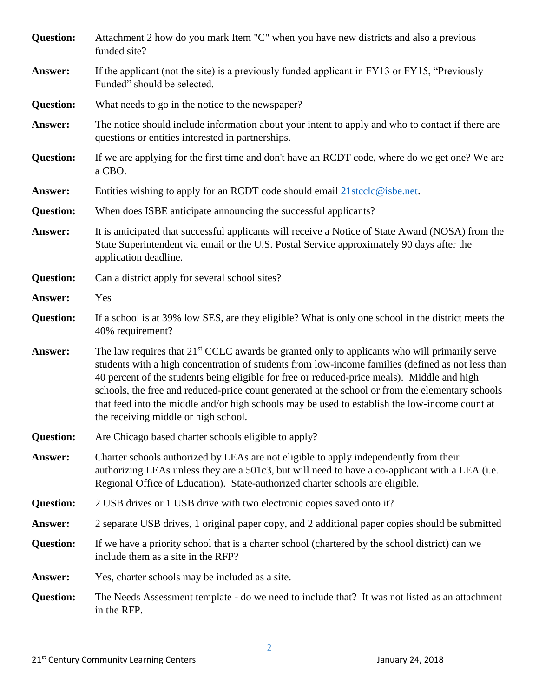| <b>Question:</b> | Attachment 2 how do you mark Item "C" when you have new districts and also a previous<br>funded site?                                                                                                                                                                                                                                                                                                                                                                                                                                                       |
|------------------|-------------------------------------------------------------------------------------------------------------------------------------------------------------------------------------------------------------------------------------------------------------------------------------------------------------------------------------------------------------------------------------------------------------------------------------------------------------------------------------------------------------------------------------------------------------|
| Answer:          | If the applicant (not the site) is a previously funded applicant in FY13 or FY15, "Previously<br>Funded" should be selected.                                                                                                                                                                                                                                                                                                                                                                                                                                |
| <b>Question:</b> | What needs to go in the notice to the newspaper?                                                                                                                                                                                                                                                                                                                                                                                                                                                                                                            |
| Answer:          | The notice should include information about your intent to apply and who to contact if there are<br>questions or entities interested in partnerships.                                                                                                                                                                                                                                                                                                                                                                                                       |
| <b>Question:</b> | If we are applying for the first time and don't have an RCDT code, where do we get one? We are<br>a CBO.                                                                                                                                                                                                                                                                                                                                                                                                                                                    |
| Answer:          | Entities wishing to apply for an RCDT code should email $21$ stcclc@isbe.net.                                                                                                                                                                                                                                                                                                                                                                                                                                                                               |
| <b>Question:</b> | When does ISBE anticipate announcing the successful applicants?                                                                                                                                                                                                                                                                                                                                                                                                                                                                                             |
| Answer:          | It is anticipated that successful applicants will receive a Notice of State Award (NOSA) from the<br>State Superintendent via email or the U.S. Postal Service approximately 90 days after the<br>application deadline.                                                                                                                                                                                                                                                                                                                                     |
| <b>Question:</b> | Can a district apply for several school sites?                                                                                                                                                                                                                                                                                                                                                                                                                                                                                                              |
| Answer:          | Yes                                                                                                                                                                                                                                                                                                                                                                                                                                                                                                                                                         |
| <b>Question:</b> | If a school is at 39% low SES, are they eligible? What is only one school in the district meets the<br>40% requirement?                                                                                                                                                                                                                                                                                                                                                                                                                                     |
| Answer:          | The law requires that 21 <sup>st</sup> CCLC awards be granted only to applicants who will primarily serve<br>students with a high concentration of students from low-income families (defined as not less than<br>40 percent of the students being eligible for free or reduced-price meals). Middle and high<br>schools, the free and reduced-price count generated at the school or from the elementary schools<br>that feed into the middle and/or high schools may be used to establish the low-income count at<br>the receiving middle or high school. |
| <b>Question:</b> | Are Chicago based charter schools eligible to apply?                                                                                                                                                                                                                                                                                                                                                                                                                                                                                                        |
| Answer:          | Charter schools authorized by LEAs are not eligible to apply independently from their<br>authorizing LEAs unless they are a 501c3, but will need to have a co-applicant with a LEA (i.e.<br>Regional Office of Education). State-authorized charter schools are eligible.                                                                                                                                                                                                                                                                                   |
| <b>Question:</b> | 2 USB drives or 1 USB drive with two electronic copies saved onto it?                                                                                                                                                                                                                                                                                                                                                                                                                                                                                       |
| <b>Answer:</b>   | 2 separate USB drives, 1 original paper copy, and 2 additional paper copies should be submitted                                                                                                                                                                                                                                                                                                                                                                                                                                                             |
| <b>Question:</b> | If we have a priority school that is a charter school (chartered by the school district) can we<br>include them as a site in the RFP?                                                                                                                                                                                                                                                                                                                                                                                                                       |
| <b>Answer:</b>   | Yes, charter schools may be included as a site.                                                                                                                                                                                                                                                                                                                                                                                                                                                                                                             |
| <b>Question:</b> | The Needs Assessment template - do we need to include that? It was not listed as an attachment<br>in the RFP.                                                                                                                                                                                                                                                                                                                                                                                                                                               |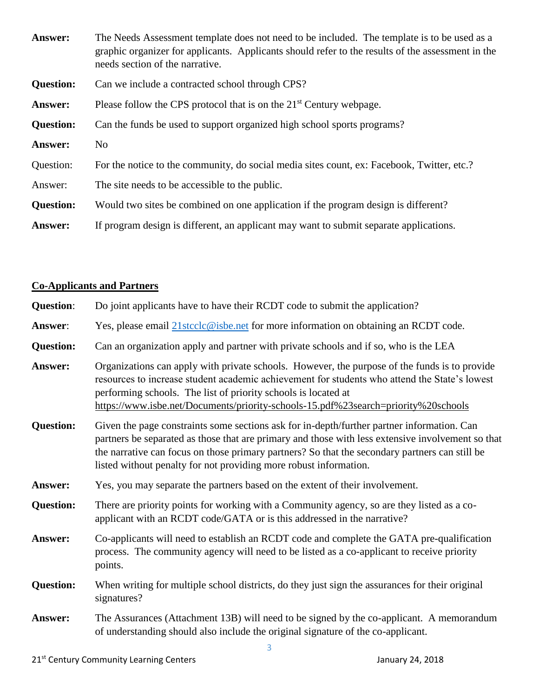| Answer:          | The Needs Assessment template does not need to be included. The template is to be used as a<br>graphic organizer for applicants. Applicants should refer to the results of the assessment in the<br>needs section of the narrative. |
|------------------|-------------------------------------------------------------------------------------------------------------------------------------------------------------------------------------------------------------------------------------|
| <b>Question:</b> | Can we include a contracted school through CPS?                                                                                                                                                                                     |
| Answer:          | Please follow the CPS protocol that is on the 21 <sup>st</sup> Century webpage.                                                                                                                                                     |
| <b>Question:</b> | Can the funds be used to support organized high school sports programs?                                                                                                                                                             |
| Answer:          | N <sub>o</sub>                                                                                                                                                                                                                      |
| Question:        | For the notice to the community, do social media sites count, ex: Facebook, Twitter, etc.?                                                                                                                                          |
| Answer:          | The site needs to be accessible to the public.                                                                                                                                                                                      |
| <b>Question:</b> | Would two sites be combined on one application if the program design is different?                                                                                                                                                  |
| Answer:          | If program design is different, an applicant may want to submit separate applications.                                                                                                                                              |

## **Co-Applicants and Partners**

| <b>Question:</b> | Do joint applicants have to have their RCDT code to submit the application?                                                                                                                                                                                                                                                                                            |
|------------------|------------------------------------------------------------------------------------------------------------------------------------------------------------------------------------------------------------------------------------------------------------------------------------------------------------------------------------------------------------------------|
| Answer:          | Yes, please email 21 stcclc@isbe.net for more information on obtaining an RCDT code.                                                                                                                                                                                                                                                                                   |
| <b>Question:</b> | Can an organization apply and partner with private schools and if so, who is the LEA                                                                                                                                                                                                                                                                                   |
| Answer:          | Organizations can apply with private schools. However, the purpose of the funds is to provide<br>resources to increase student academic achievement for students who attend the State's lowest<br>performing schools. The list of priority schools is located at<br>https://www.isbe.net/Documents/priority-schools-15.pdf%23search=priority%20schools                 |
| <b>Question:</b> | Given the page constraints some sections ask for in-depth/further partner information. Can<br>partners be separated as those that are primary and those with less extensive involvement so that<br>the narrative can focus on those primary partners? So that the secondary partners can still be<br>listed without penalty for not providing more robust information. |
| Answer:          | Yes, you may separate the partners based on the extent of their involvement.                                                                                                                                                                                                                                                                                           |
| <b>Question:</b> | There are priority points for working with a Community agency, so are they listed as a co-<br>applicant with an RCDT code/GATA or is this addressed in the narrative?                                                                                                                                                                                                  |
| Answer:          | Co-applicants will need to establish an RCDT code and complete the GATA pre-qualification<br>process. The community agency will need to be listed as a co-applicant to receive priority<br>points.                                                                                                                                                                     |
| <b>Question:</b> | When writing for multiple school districts, do they just sign the assurances for their original<br>signatures?                                                                                                                                                                                                                                                         |
| Answer:          | The Assurances (Attachment 13B) will need to be signed by the co-applicant. A memorandum<br>of understanding should also include the original signature of the co-applicant.                                                                                                                                                                                           |

3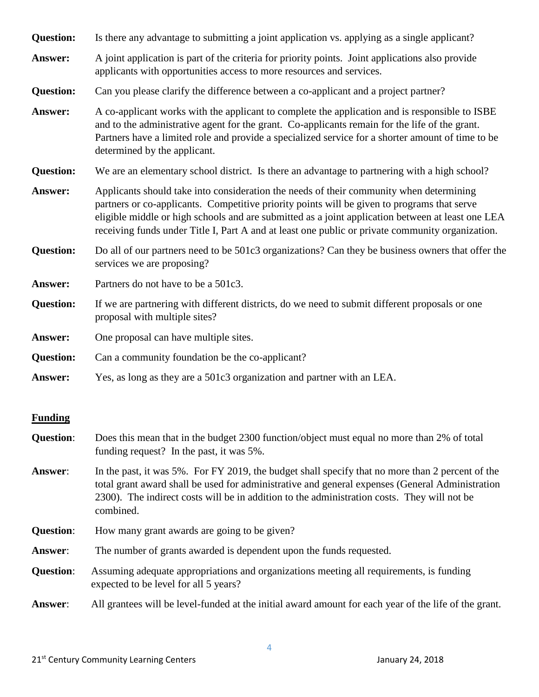| <b>Question:</b> | Is there any advantage to submitting a joint application vs. applying as a single applicant?                                                                                                                                                                                                                                                                                                    |
|------------------|-------------------------------------------------------------------------------------------------------------------------------------------------------------------------------------------------------------------------------------------------------------------------------------------------------------------------------------------------------------------------------------------------|
| Answer:          | A joint application is part of the criteria for priority points. Joint applications also provide<br>applicants with opportunities access to more resources and services.                                                                                                                                                                                                                        |
| <b>Question:</b> | Can you please clarify the difference between a co-applicant and a project partner?                                                                                                                                                                                                                                                                                                             |
| Answer:          | A co-applicant works with the applicant to complete the application and is responsible to ISBE<br>and to the administrative agent for the grant. Co-applicants remain for the life of the grant.<br>Partners have a limited role and provide a specialized service for a shorter amount of time to be<br>determined by the applicant.                                                           |
| <b>Question:</b> | We are an elementary school district. Is there an advantage to partnering with a high school?                                                                                                                                                                                                                                                                                                   |
| Answer:          | Applicants should take into consideration the needs of their community when determining<br>partners or co-applicants. Competitive priority points will be given to programs that serve<br>eligible middle or high schools and are submitted as a joint application between at least one LEA<br>receiving funds under Title I, Part A and at least one public or private community organization. |
| <b>Question:</b> | Do all of our partners need to be 501c3 organizations? Can they be business owners that offer the<br>services we are proposing?                                                                                                                                                                                                                                                                 |
| Answer:          | Partners do not have to be a 501c3.                                                                                                                                                                                                                                                                                                                                                             |
| <b>Question:</b> | If we are partnering with different districts, do we need to submit different proposals or one<br>proposal with multiple sites?                                                                                                                                                                                                                                                                 |
| Answer:          | One proposal can have multiple sites.                                                                                                                                                                                                                                                                                                                                                           |
| <b>Question:</b> | Can a community foundation be the co-applicant?                                                                                                                                                                                                                                                                                                                                                 |
| Answer:          | Yes, as long as they are a 501c3 organization and partner with an LEA.                                                                                                                                                                                                                                                                                                                          |

#### **Funding**

- **Question**: Does this mean that in the budget 2300 function/object must equal no more than 2% of total funding request? In the past, it was 5%.
- **Answer**: In the past, it was 5%. For FY 2019, the budget shall specify that no more than 2 percent of the total grant award shall be used for administrative and general expenses (General Administration 2300). The indirect costs will be in addition to the administration costs. They will not be combined.
- **Question:** How many grant awards are going to be given?
- **Answer**: The number of grants awarded is dependent upon the funds requested.
- **Question**: Assuming adequate appropriations and organizations meeting all requirements, is funding expected to be level for all 5 years?

**Answer**: All grantees will be level-funded at the initial award amount for each year of the life of the grant.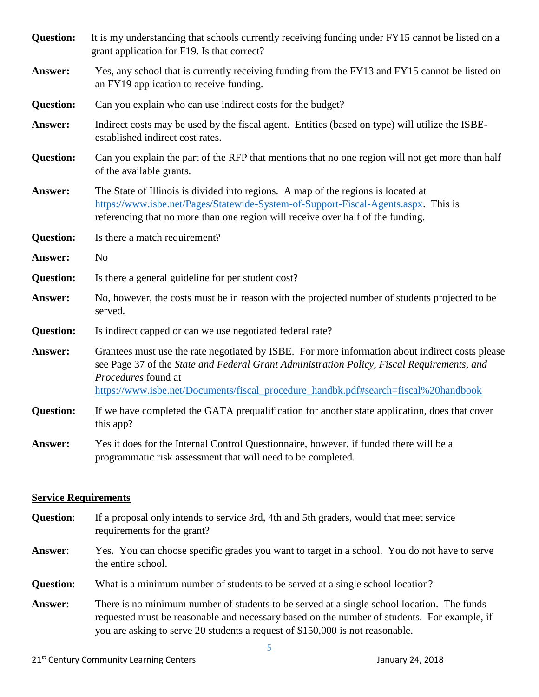| <b>Question:</b> | It is my understanding that schools currently receiving funding under FY15 cannot be listed on a<br>grant application for F19. Is that correct?                                                                                                                                                             |
|------------------|-------------------------------------------------------------------------------------------------------------------------------------------------------------------------------------------------------------------------------------------------------------------------------------------------------------|
| Answer:          | Yes, any school that is currently receiving funding from the FY13 and FY15 cannot be listed on<br>an FY19 application to receive funding.                                                                                                                                                                   |
| <b>Question:</b> | Can you explain who can use indirect costs for the budget?                                                                                                                                                                                                                                                  |
| Answer:          | Indirect costs may be used by the fiscal agent. Entities (based on type) will utilize the ISBE-<br>established indirect cost rates.                                                                                                                                                                         |
| <b>Question:</b> | Can you explain the part of the RFP that mentions that no one region will not get more than half<br>of the available grants.                                                                                                                                                                                |
| Answer:          | The State of Illinois is divided into regions. A map of the regions is located at<br>https://www.isbe.net/Pages/Statewide-System-of-Support-Fiscal-Agents.aspx. This is<br>referencing that no more than one region will receive over half of the funding.                                                  |
| <b>Question:</b> | Is there a match requirement?                                                                                                                                                                                                                                                                               |
| Answer:          | N <sub>o</sub>                                                                                                                                                                                                                                                                                              |
| <b>Question:</b> | Is there a general guideline for per student cost?                                                                                                                                                                                                                                                          |
| Answer:          | No, however, the costs must be in reason with the projected number of students projected to be<br>served.                                                                                                                                                                                                   |
| <b>Question:</b> | Is indirect capped or can we use negotiated federal rate?                                                                                                                                                                                                                                                   |
| Answer:          | Grantees must use the rate negotiated by ISBE. For more information about indirect costs please<br>see Page 37 of the State and Federal Grant Administration Policy, Fiscal Requirements, and<br>Procedures found at<br>https://www.isbe.net/Documents/fiscal_procedure_handbk.pdf#search=fiscal%20handbook |
| <b>Question:</b> | If we have completed the GATA prequalification for another state application, does that cover<br>this app?                                                                                                                                                                                                  |
| Answer:          | Yes it does for the Internal Control Questionnaire, however, if funded there will be a                                                                                                                                                                                                                      |

#### **Service Requirements**

**Question**: If a proposal only intends to service 3rd, 4th and 5th graders, would that meet service requirements for the grant?

programmatic risk assessment that will need to be completed.

- **Answer**: Yes. You can choose specific grades you want to target in a school. You do not have to serve the entire school.
- **Question**: What is a minimum number of students to be served at a single school location?
- **Answer**: There is no minimum number of students to be served at a single school location. The funds requested must be reasonable and necessary based on the number of students. For example, if you are asking to serve 20 students a request of \$150,000 is not reasonable.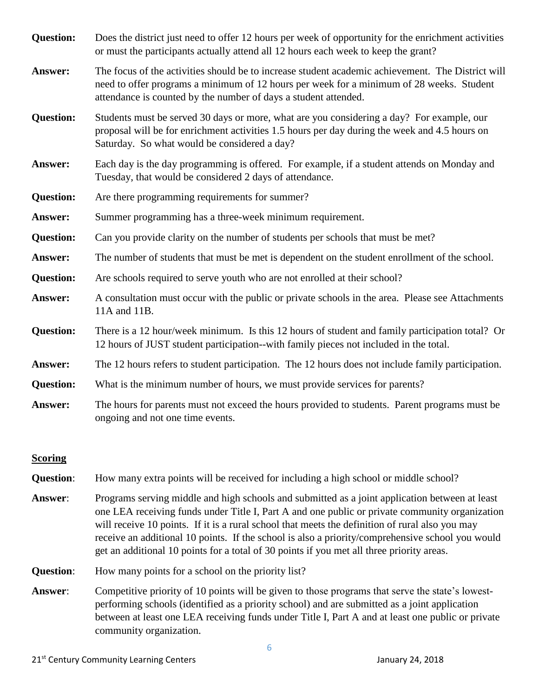| <b>Question:</b> | Does the district just need to offer 12 hours per week of opportunity for the enrichment activities<br>or must the participants actually attend all 12 hours each week to keep the grant?                                                                        |
|------------------|------------------------------------------------------------------------------------------------------------------------------------------------------------------------------------------------------------------------------------------------------------------|
| Answer:          | The focus of the activities should be to increase student academic achievement. The District will<br>need to offer programs a minimum of 12 hours per week for a minimum of 28 weeks. Student<br>attendance is counted by the number of days a student attended. |
| <b>Question:</b> | Students must be served 30 days or more, what are you considering a day? For example, our<br>proposal will be for enrichment activities 1.5 hours per day during the week and 4.5 hours on<br>Saturday. So what would be considered a day?                       |
| Answer:          | Each day is the day programming is offered. For example, if a student attends on Monday and<br>Tuesday, that would be considered 2 days of attendance.                                                                                                           |
| <b>Question:</b> | Are there programming requirements for summer?                                                                                                                                                                                                                   |
| Answer:          | Summer programming has a three-week minimum requirement.                                                                                                                                                                                                         |
| <b>Question:</b> | Can you provide clarity on the number of students per schools that must be met?                                                                                                                                                                                  |
| Answer:          | The number of students that must be met is dependent on the student enrollment of the school.                                                                                                                                                                    |
| <b>Question:</b> | Are schools required to serve youth who are not enrolled at their school?                                                                                                                                                                                        |
| Answer:          | A consultation must occur with the public or private schools in the area. Please see Attachments<br>11A and 11B.                                                                                                                                                 |
| <b>Question:</b> | There is a 12 hour/week minimum. Is this 12 hours of student and family participation total? Or<br>12 hours of JUST student participation--with family pieces not included in the total.                                                                         |
| Answer:          | The 12 hours refers to student participation. The 12 hours does not include family participation.                                                                                                                                                                |
| <b>Question:</b> | What is the minimum number of hours, we must provide services for parents?                                                                                                                                                                                       |
| Answer:          | The hours for parents must not exceed the hours provided to students. Parent programs must be<br>ongoing and not one time events.                                                                                                                                |
|                  |                                                                                                                                                                                                                                                                  |

### **Scoring**

**Question:** How many extra points will be received for including a high school or middle school?

- **Answer**: Programs serving middle and high schools and submitted as a joint application between at least one LEA receiving funds under Title I, Part A and one public or private community organization will receive 10 points. If it is a rural school that meets the definition of rural also you may receive an additional 10 points. If the school is also a priority/comprehensive school you would get an additional 10 points for a total of 30 points if you met all three priority areas.
- **Question:** How many points for a school on the priority list?
- **Answer**: Competitive priority of 10 points will be given to those programs that serve the state's lowestperforming schools (identified as a priority school) and are submitted as a joint application between at least one LEA receiving funds under Title I, Part A and at least one public or private community organization.